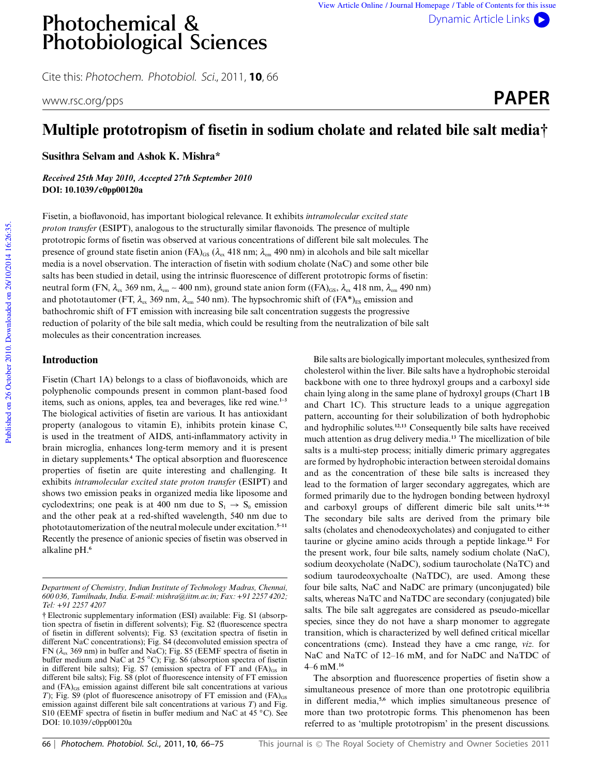# Photochemical & Photobiological Sciences

Cite this: Photochem. Photobiol. Sci., 2011, **10**, 66

# **Multiple prototropism of fisetin in sodium cholate and related bile salt media†**

**Susithra Selvam and Ashok K. Mishra\***

*Received 25th May 2010, Accepted 27th September 2010* **DOI: 10.1039/c0pp00120a**

Fisetin, a bioflavonoid, has important biological relevance. It exhibits *intramolecular excited state proton transfer* (ESIPT), analogous to the structurally similar flavonoids. The presence of multiple prototropic forms of fisetin was observed at various concentrations of different bile salt molecules. The presence of ground state fisetin anion (FA)<sub>GS</sub> ( $\lambda_{\rm ex}$  418 nm;  $\lambda_{\rm em}$  490 nm) in alcohols and bile salt micellar media is a novel observation. The interaction of fisetin with sodium cholate (NaC) and some other bile salts has been studied in detail, using the intrinsic fluorescence of different prototropic forms of fisetin: neutral form (FN,  $\lambda_{\rm ex}$  369 nm,  $\lambda_{\rm em}$  ~ 400 nm), ground state anion form ((FA)<sub>GS</sub>,  $\lambda_{\rm ex}$  418 nm,  $\lambda_{\rm em}$  490 nm) and phototautomer (FT,  $\lambda_{\rm ex}$  369 nm,  $\lambda_{\rm em}$  540 nm). The hypsochromic shift of (FA\*)<sub>ES</sub> emission and bathochromic shift of FT emission with increasing bile salt concentration suggests the progressive reduction of polarity of the bile salt media, which could be resulting from the neutralization of bile salt molecules as their concentration increases.

# **Introduction**

Fisetin (Chart 1A) belongs to a class of bioflavonoids, which are polyphenolic compounds present in common plant-based food items, such as onions, apples, tea and beverages, like red wine.**1–3** The biological activities of fisetin are various. It has antioxidant property (analogous to vitamin E), inhibits protein kinase C, is used in the treatment of AIDS, anti-inflammatory activity in brain microglia, enhances long-term memory and it is present in dietary supplements.**<sup>4</sup>** The optical absorption and fluorescence properties of fisetin are quite interesting and challenging. It exhibits *intramolecular excited state proton transfer* (ESIPT) and shows two emission peaks in organized media like liposome and cyclodextrins; one peak is at 400 nm due to  $S_1 \rightarrow S_0$  emission and the other peak at a red-shifted wavelength, 540 nm due to phototautomerization of the neutral molecule under excitation.**5–11** Recently the presence of anionic species of fisetin was observed in alkaline pH.**<sup>6</sup>**

Bile salts are biologically important molecules, synthesized from cholesterol within the liver. Bile salts have a hydrophobic steroidal backbone with one to three hydroxyl groups and a carboxyl side chain lying along in the same plane of hydroxyl groups (Chart 1B and Chart 1C). This structure leads to a unique aggregation pattern, accounting for their solubilization of both hydrophobic and hydrophilic solutes.**12,13** Consequently bile salts have received much attention as drug delivery media.**<sup>13</sup>** The micellization of bile salts is a multi-step process; initially dimeric primary aggregates are formed by hydrophobic interaction between steroidal domains and as the concentration of these bile salts is increased they lead to the formation of larger secondary aggregates, which are formed primarily due to the hydrogen bonding between hydroxyl and carboxyl groups of different dimeric bile salt units.**14–16** The secondary bile salts are derived from the primary bile salts (cholates and chenodeoxycholates) and conjugated to either taurine or glycine amino acids through a peptide linkage.**<sup>12</sup>** For the present work, four bile salts, namely sodium cholate (NaC), sodium deoxycholate (NaDC), sodium taurocholate (NaTC) and sodium taurodeoxychoalte (NaTDC), are used. Among these four bile salts, NaC and NaDC are primary (unconjugated) bile salts, whereas NaTC and NaTDC are secondary (conjugated) bile salts. The bile salt aggregates are considered as pseudo-micellar species, since they do not have a sharp monomer to aggregate transition, which is characterized by well defined critical micellar concentrations (cmc). Instead they have a cmc range, *viz.* for NaC and NaTC of 12–16 mM, and for NaDC and NaTDC of 4–6 mM.**<sup>16</sup>**

The absorption and fluorescence properties of fisetin show a simultaneous presence of more than one prototropic equilibria in different media,**5,6** which implies simultaneous presence of more than two prototropic forms. This phenomenon has been referred to as 'multiple prototropism' in the present discussions.

*Department of Chemistry, Indian Institute of Technology Madras, Chennai, 600 036, Tamilnadu, India. E-mail: mishra@iitm.ac.in; Fax: +91 2257 4202; Tel: +91 2257 4207*

<sup>†</sup> Electronic supplementary information (ESI) available: Fig. S1 (absorption spectra of fisetin in different solvents); Fig. S2 (fluorescence spectra of fisetin in different solvents); Fig. S3 (excitation spectra of fisetin in different NaC concentrations); Fig. S4 (deconvoluted emission spectra of FN  $(\lambda_{\text{ex}} 369 \text{ nm})$  in buffer and NaC); Fig. S5 (EEMF spectra of fisetin in buffer medium and NaC at 25 °C); Fig. S6 (absorption spectra of fisetin in different bile salts); Fig. S7 (emission spectra of FT and  $(FA)_{GS}$  in different bile salts); Fig. S8 (plot of fluorescence intensity of FT emission and (FA)<sub>GS</sub> emission against different bile salt concentrations at various *T*); Fig. S9 (plot of fluorescence anisotropy of FT emission and  $(FA)_{GS}$ emission against different bile salt concentrations at various *T*) and Fig. S10 (EEMF spectra of fisetin in buffer medium and NaC at 45 ◦C). See DOI: 10.1039/c0pp00120a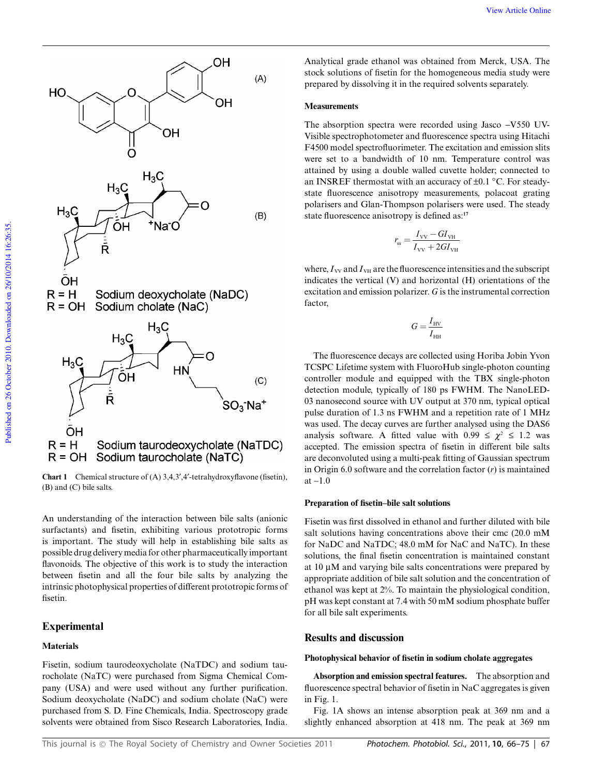

**Chart 1** Chemical structure of (A) 3,4,3',4'-tetrahydroxyflavone (fisetin), (B) and (C) bile salts.

An understanding of the interaction between bile salts (anionic surfactants) and fisetin, exhibiting various prototropic forms is important. The study will help in establishing bile salts as possible drug delivery media for other pharmaceutically important flavonoids. The objective of this work is to study the interaction between fisetin and all the four bile salts by analyzing the intrinsic photophysical properties of different prototropic forms of fisetin.

# **Experimental**

# **Materials**

Fisetin, sodium taurodeoxycholate (NaTDC) and sodium taurocholate (NaTC) were purchased from Sigma Chemical Company (USA) and were used without any further purification. Sodium deoxycholate (NaDC) and sodium cholate (NaC) were purchased from S. D. Fine Chemicals, India. Spectroscopy grade solvents were obtained from Sisco Research Laboratories, India.

Analytical grade ethanol was obtained from Merck, USA. The stock solutions of fisetin for the homogeneous media study were prepared by dissolving it in the required solvents separately.

# **Measurements**

The absorption spectra were recorded using Jasco -V550 UV-Visible spectrophotometer and fluorescence spectra using Hitachi F4500 model spectrofluorimeter. The excitation and emission slits were set to a bandwidth of 10 nm. Temperature control was attained by using a double walled cuvette holder; connected to an INSREF thermostat with an accuracy of  $\pm 0.1$  °C. For steadystate fluorescence anisotropy measurements, polacoat grating polarisers and Glan-Thompson polarisers were used. The steady state fluorescence anisotropy is defined as:**<sup>17</sup>**

$$
r_{\rm ss} = \frac{I_{\rm VV} - GI_{\rm VH}}{I_{\rm VV} + 2GI_{\rm VH}}
$$

where,  $I_{\text{VV}}$  and  $I_{\text{VH}}$  are the fluorescence intensities and the subscript indicates the vertical (V) and horizontal (H) orientations of the excitation and emission polarizer. *G* is the instrumental correction factor,

$$
G=\frac{I_{\text{HV}}}{I_{\text{HH}}}
$$

The fluorescence decays are collected using Horiba Jobin Yvon TCSPC Lifetime system with FluoroHub single-photon counting controller module and equipped with the TBX single-photon detection module, typically of 180 ps FWHM. The NanoLED-03 nanosecond source with UV output at 370 nm, typical optical pulse duration of 1.3 ns FWHM and a repetition rate of 1 MHz was used. The decay curves are further analysed using the DAS6 analysis software. A fitted value with  $0.99 \leq \chi^2 \leq 1.2$  was accepted. The emission spectra of fisetin in different bile salts are deconvoluted using a multi-peak fitting of Gaussian spectrum in Origin 6.0 software and the correlation factor (*r*) is maintained at  $-1.0$ 

#### **Preparation of fisetin–bile salt solutions**

Fisetin was first dissolved in ethanol and further diluted with bile salt solutions having concentrations above their cmc (20.0 mM for NaDC and NaTDC; 48.0 mM for NaC and NaTC). In these solutions, the final fisetin concentration is maintained constant at  $10 \mu$ M and varying bile salts concentrations were prepared by appropriate addition of bile salt solution and the concentration of ethanol was kept at 2%. To maintain the physiological condition, pH was kept constant at 7.4 with 50 mM sodium phosphate buffer for all bile salt experiments.

# **Results and discussion**

#### **Photophysical behavior of fisetin in sodium cholate aggregates**

**Absorption and emission spectral features.** The absorption and fluorescence spectral behavior of fisetin in NaC aggregates is given in Fig. 1.

Fig. 1A shows an intense absorption peak at 369 nm and a slightly enhanced absorption at 418 nm. The peak at 369 nm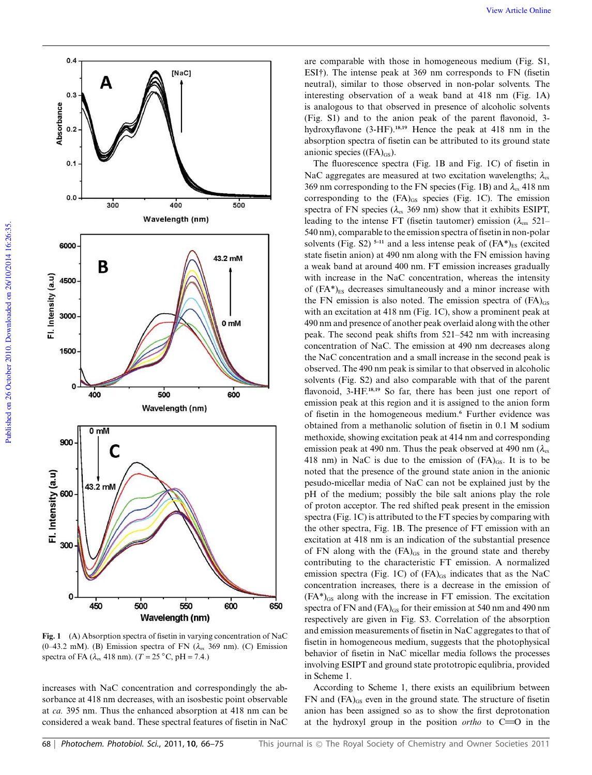

Fig. 1 (A) Absorption spectra of fisetin in varying concentration of NaC (0–43.2 mM). (B) Emission spectra of FN  $(\lambda_{ex}$  369 nm). (C) Emission spectra of FA ( $\lambda_{\text{ex}}$  418 nm). (*T* = 25 °C, pH = 7.4.)

increases with NaC concentration and correspondingly the absorbance at 418 nm decreases, with an isosbestic point observable at *ca.* 395 nm. Thus the enhanced absorption at 418 nm can be considered a weak band. These spectral features of fisetin in NaC

are comparable with those in homogeneous medium (Fig. S1, ESI†). The intense peak at 369 nm corresponds to FN (fisetin neutral), similar to those observed in non-polar solvents. The interesting observation of a weak band at 418 nm (Fig. 1A) is analogous to that observed in presence of alcoholic solvents (Fig. S1) and to the anion peak of the parent flavonoid, 3 hydroxyflavone (3-HF).**18,19** Hence the peak at 418 nm in the absorption spectra of fisetin can be attributed to its ground state anionic species  $((FA)_{GS})$ .

The fluorescence spectra (Fig. 1B and Fig. 1C) of fisetin in NaC aggregates are measured at two excitation wavelengths;  $\lambda_{\infty}$ 369 nm corresponding to the FN species (Fig. 1B) and  $\lambda_{ex}$  418 nm corresponding to the  $(FA)_{GS}$  species (Fig. 1C). The emission spectra of FN species ( $\lambda_{ex}$  369 nm) show that it exhibits ESIPT, leading to the intense FT (fisetin tautomer) emission  $(\lambda_{em} 521 -$ 540 nm), comparable to the emission spectra of fisetin in non-polar solvents (Fig. S2)<sup>5–11</sup> and a less intense peak of  $(FA^*)_{ES}$  (excited state fisetin anion) at 490 nm along with the FN emission having a weak band at around 400 nm. FT emission increases gradually with increase in the NaC concentration, whereas the intensity of  $(FA^*)_{ES}$  decreases simultaneously and a minor increase with the FN emission is also noted. The emission spectra of  $(FA)_{GS}$ with an excitation at 418 nm (Fig. 1C), show a prominent peak at 490 nm and presence of another peak overlaid along with the other peak. The second peak shifts from 521–542 nm with increasing concentration of NaC. The emission at 490 nm decreases along the NaC concentration and a small increase in the second peak is observed. The 490 nm peak is similar to that observed in alcoholic solvents (Fig. S2) and also comparable with that of the parent flavonoid, 3-HF.<sup>18,19</sup> So far, there has been just one report of emission peak at this region and it is assigned to the anion form of fisetin in the homogeneous medium.**<sup>6</sup>** Further evidence was obtained from a methanolic solution of fisetin in 0.1 M sodium methoxide, showing excitation peak at 414 nm and corresponding emission peak at 490 nm. Thus the peak observed at 490 nm  $(\lambda_{ex})$ 418 nm) in NaC is due to the emission of  $(FA)_{GS}$ . It is to be noted that the presence of the ground state anion in the anionic pesudo-micellar media of NaC can not be explained just by the pH of the medium; possibly the bile salt anions play the role of proton acceptor. The red shifted peak present in the emission spectra (Fig. 1C) is attributed to the FT species by comparing with the other spectra, Fig. 1B. The presence of FT emission with an excitation at 418 nm is an indication of the substantial presence of FN along with the  $(FA)_{GS}$  in the ground state and thereby contributing to the characteristic FT emission. A normalized emission spectra (Fig. 1C) of  $(FA)_{GS}$  indicates that as the NaC concentration increases, there is a decrease in the emission of  $(FA^*)$ <sub>GS</sub> along with the increase in FT emission. The excitation spectra of FN and  $(FA)_{GS}$  for their emission at 540 nm and 490 nm respectively are given in Fig. S3. Correlation of the absorption and emission measurements of fisetin in NaC aggregates to that of fisetin in homogeneous medium, suggests that the photophysical behavior of fisetin in NaC micellar media follows the processes involving ESIPT and ground state prototropic equlibria, provided in Scheme 1.

According to Scheme 1, there exists an equilibrium between  $FN$  and  $(FA)_{GS}$  even in the ground state. The structure of fisetin anion has been assigned so as to show the first deprotonation at the hydroxyl group in the position  $ortho$  to  $C = O$  in the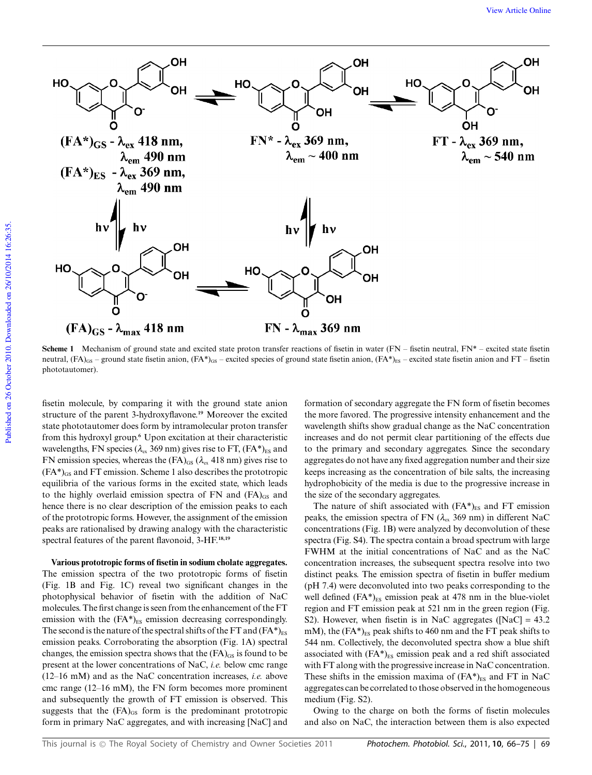

Scheme 1 Mechanism of ground state and excited state proton transfer reactions of fisetin in water (FN – fisetin neutral, FN\* – excited state fisetin neutral,  $(FA)_{GS}$  – ground state fisetin anion,  $(FA^*)_{GS}$  – excited species of ground state fisetin anion,  $(FA^*)_{ES}$  – excited state fisetin anion and FT – fisetin phototautomer).

fisetin molecule, by comparing it with the ground state anion structure of the parent 3-hydroxyflavone.**<sup>19</sup>** Moreover the excited state phototautomer does form by intramolecular proton transfer from this hydroxyl group.**<sup>6</sup>** Upon excitation at their characteristic wavelengths, FN species ( $\lambda_{\rm ex}$  369 nm) gives rise to FT, (FA\*)<sub>ES</sub> and FN emission species, whereas the  $(FA)_{GS}$  ( $\lambda_{ex}$  418 nm) gives rise to  $(FA^*)$ <sub>GS</sub> and FT emission. Scheme 1 also describes the prototropic equilibria of the various forms in the excited state, which leads to the highly overlaid emission spectra of FN and  $(FA)_{GS}$  and hence there is no clear description of the emission peaks to each of the prototropic forms. However, the assignment of the emission peaks are rationalised by drawing analogy with the characteristic spectral features of the parent flavonoid, 3-HF.**18,19**

**Various prototropic forms of fisetin in sodium cholate aggregates.** The emission spectra of the two prototropic forms of fisetin (Fig. 1B and Fig. 1C) reveal two significant changes in the photophysical behavior of fisetin with the addition of NaC molecules. The first change is seen from the enhancement of the FT emission with the  $(FA^*)_{ES}$  emission decreasing correspondingly. The second is the nature of the spectral shifts of the FT and  $(FA^*)_{ES}$ emission peaks. Corroborating the absorption (Fig. 1A) spectral changes, the emission spectra shows that the  $(FA)_{GS}$  is found to be present at the lower concentrations of NaC, *i.e.* below cmc range (12–16 mM) and as the NaC concentration increases, *i.e.* above cmc range (12–16 mM), the FN form becomes more prominent and subsequently the growth of FT emission is observed. This suggests that the  $(FA)_{GS}$  form is the predominant prototropic form in primary NaC aggregates, and with increasing [NaC] and

formation of secondary aggregate the FN form of fisetin becomes the more favored. The progressive intensity enhancement and the wavelength shifts show gradual change as the NaC concentration increases and do not permit clear partitioning of the effects due to the primary and secondary aggregates. Since the secondary aggregates do not have any fixed aggregation number and their size keeps increasing as the concentration of bile salts, the increasing hydrophobicity of the media is due to the progressive increase in the size of the secondary aggregates.

The nature of shift associated with  $(FA^*)_{ES}$  and FT emission peaks, the emission spectra of FN  $(\lambda_{\rm ex} 369 \text{ nm})$  in different NaC concentrations (Fig. 1B) were analyzed by deconvolution of these spectra (Fig. S4). The spectra contain a broad spectrum with large FWHM at the initial concentrations of NaC and as the NaC concentration increases, the subsequent spectra resolve into two distinct peaks. The emission spectra of fisetin in buffer medium (pH 7.4) were deconvoluted into two peaks corresponding to the well defined  $(FA^*)_{ES}$  emission peak at 478 nm in the blue-violet region and FT emission peak at 521 nm in the green region (Fig. S2). However, when fisetin is in NaC aggregates ( $[NaC] = 43.2$ ) mM), the  $(FA^*)_{ES}$  peak shifts to 460 nm and the FT peak shifts to 544 nm. Collectively, the deconvoluted spectra show a blue shift associated with  $(FA^*)_{ES}$  emission peak and a red shift associated with FT along with the progressive increase in NaC concentration. These shifts in the emission maxima of  $(FA^*)_{ES}$  and FT in NaC aggregates can be correlated to those observed in the homogeneous medium (Fig. S2).

Owing to the charge on both the forms of fisetin molecules and also on NaC, the interaction between them is also expected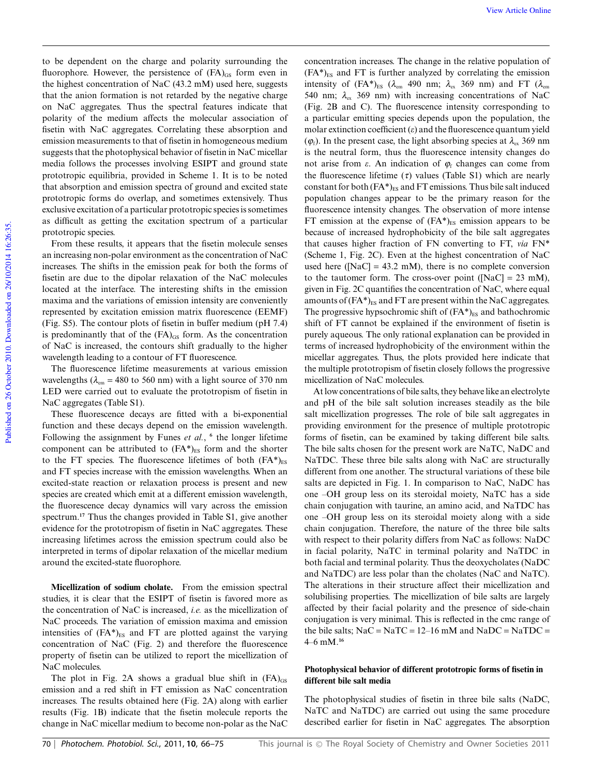to be dependent on the charge and polarity surrounding the fluorophore. However, the persistence of  $(FA)_{GS}$  form even in the highest concentration of NaC (43.2 mM) used here, suggests that the anion formation is not retarded by the negative charge on NaC aggregates. Thus the spectral features indicate that polarity of the medium affects the molecular association of fisetin with NaC aggregates. Correlating these absorption and emission measurements to that of fisetin in homogeneous medium suggests that the photophysical behavior of fisetin in NaC micellar media follows the processes involving ESIPT and ground state prototropic equilibria, provided in Scheme 1. It is to be noted that absorption and emission spectra of ground and excited state prototropic forms do overlap, and sometimes extensively. Thus exclusive excitation of a particular prototropic species is sometimes as difficult as getting the excitation spectrum of a particular prototropic species.

From these results, it appears that the fisetin molecule senses an increasing non-polar environment as the concentration of NaC increases. The shifts in the emission peak for both the forms of fisetin are due to the dipolar relaxation of the NaC molecules located at the interface. The interesting shifts in the emission maxima and the variations of emission intensity are conveniently represented by excitation emission matrix fluorescence (EEMF) (Fig. S5). The contour plots of fisetin in buffer medium (pH 7.4) is predominantly that of the  $(FA)_{GS}$  form. As the concentration of NaC is increased, the contours shift gradually to the higher wavelength leading to a contour of FT fluorescence.

The fluorescence lifetime measurements at various emission wavelengths ( $\lambda_{\rm em}$  = 480 to 560 nm) with a light source of 370 nm LED were carried out to evaluate the prototropism of fisetin in NaC aggregates (Table S1).

These fluorescence decays are fitted with a bi-exponential function and these decays depend on the emission wavelength. Following the assignment by Funes et al., <sup>6</sup> the longer lifetime component can be attributed to  $(FA^*)_{ES}$  form and the shorter to the FT species. The fluorescence lifetimes of both  $(FA^*)_{ES}$ and FT species increase with the emission wavelengths. When an excited-state reaction or relaxation process is present and new species are created which emit at a different emission wavelength, the fluorescence decay dynamics will vary across the emission spectrum.**<sup>17</sup>** Thus the changes provided in Table S1, give another evidence for the prototropism of fisetin in NaC aggregates. These increasing lifetimes across the emission spectrum could also be interpreted in terms of dipolar relaxation of the micellar medium around the excited-state fluorophore.

**Micellization of sodium cholate.** From the emission spectral studies, it is clear that the ESIPT of fisetin is favored more as the concentration of NaC is increased, *i.e.* as the micellization of NaC proceeds. The variation of emission maxima and emission intensities of  $(FA^*)_{ES}$  and FT are plotted against the varying concentration of NaC (Fig. 2) and therefore the fluorescence property of fisetin can be utilized to report the micellization of NaC molecules.

The plot in Fig. 2A shows a gradual blue shift in  $(FA)_{GS}$ emission and a red shift in FT emission as NaC concentration increases. The results obtained here (Fig. 2A) along with earlier results (Fig. 1B) indicate that the fisetin molecule reports the change in NaC micellar medium to become non-polar as the NaC

concentration increases. The change in the relative population of  $(FA^*)_{ES}$  and FT is further analyzed by correlating the emission intensity of  $(FA^*)_{ES}$  ( $\lambda_{em}$  490 nm;  $\lambda_{ex}$  369 nm) and FT ( $\lambda_{em}$ 540 nm;  $\lambda_{ex}$  369 nm) with increasing concentrations of NaC (Fig. 2B and C). The fluorescence intensity corresponding to a particular emitting species depends upon the population, the molar extinction coefficient  $(\varepsilon)$  and the fluorescence quantum yield ( $\varphi$ <sub>f</sub>). In the present case, the light absorbing species at  $\lambda_{ex}$  369 nm is the neutral form, thus the fluorescence intensity changes do not arise from  $\varepsilon$ . An indication of  $\varphi_f$  changes can come from the fluorescence lifetime  $(\tau)$  values (Table S1) which are nearly constant for both  $(FA^*)_{ES}$  and FT emissions. Thus bile salt induced population changes appear to be the primary reason for the fluorescence intensity changes. The observation of more intense FT emission at the expense of  $(FA^*)_{ES}$  emission appears to be because of increased hydrophobicity of the bile salt aggregates that causes higher fraction of FN converting to FT, *via* FN\* (Scheme 1, Fig. 2C). Even at the highest concentration of NaC used here ( $[NaC] = 43.2$  mM), there is no complete conversion to the tautomer form. The cross-over point ( $[NaC] = 23$  mM), given in Fig. 2C quantifies the concentration of NaC, where equal amounts of  $(FA^*)_{ES}$  and FT are present within the NaC aggregates. The progressive hypsochromic shift of  $(FA^*)_{FS}$  and bathochromic shift of FT cannot be explained if the environment of fisetin is purely aqueous. The only rational explanation can be provided in terms of increased hydrophobicity of the environment within the micellar aggregates. Thus, the plots provided here indicate that the multiple prototropism of fisetin closely follows the progressive micellization of NaC molecules.

At low concentrations of bile salts, they behave like an electrolyte and pH of the bile salt solution increases steadily as the bile salt micellization progresses. The role of bile salt aggregates in providing environment for the presence of multiple prototropic forms of fisetin, can be examined by taking different bile salts. The bile salts chosen for the present work are NaTC, NaDC and NaTDC. These three bile salts along with NaC are structurally different from one another. The structural variations of these bile salts are depicted in Fig. 1. In comparison to NaC, NaDC has one –OH group less on its steroidal moiety, NaTC has a side chain conjugation with taurine, an amino acid, and NaTDC has one –OH group less on its steroidal moiety along with a side chain conjugation. Therefore, the nature of the three bile salts with respect to their polarity differs from NaC as follows: NaDC in facial polarity, NaTC in terminal polarity and NaTDC in both facial and terminal polarity. Thus the deoxycholates (NaDC and NaTDC) are less polar than the cholates (NaC and NaTC). The alterations in their structure affect their micellization and solubilising properties. The micellization of bile salts are largely affected by their facial polarity and the presence of side-chain conjugation is very minimal. This is reflected in the cmc range of the bile salts;  $NaC = NaTC = 12–16$  mM and  $NaDC = NaTDC =$ 4–6 mM.**<sup>16</sup>**

### **Photophysical behavior of different prototropic forms of fisetin in different bile salt media**

The photophysical studies of fisetin in three bile salts (NaDC, NaTC and NaTDC) are carried out using the same procedure described earlier for fisetin in NaC aggregates. The absorption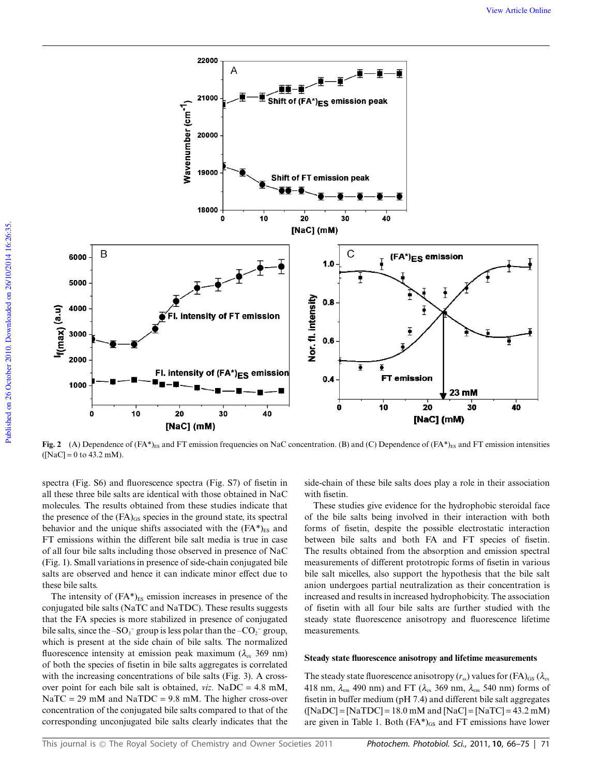

Fig. 2 (A) Dependence of (FA\*)<sub>ES</sub> and FT emission frequencies on NaC concentration. (B) and (C) Dependence of (FA\*)<sub>ES</sub> and FT emission intensities  $([NaC] = 0$  to 43.2 mM).

spectra (Fig. S6) and fluorescence spectra (Fig. S7) of fisetin in all these three bile salts are identical with those obtained in NaC molecules. The results obtained from these studies indicate that the presence of the  $(FA)_{GS}$  species in the ground state, its spectral behavior and the unique shifts associated with the  $(FA^*)_{ES}$  and FT emissions within the different bile salt media is true in case of all four bile salts including those observed in presence of NaC (Fig. 1). Small variations in presence of side-chain conjugated bile salts are observed and hence it can indicate minor effect due to these bile salts.

The intensity of  $(FA^*)_{ES}$  emission increases in presence of the conjugated bile salts (NaTC and NaTDC). These results suggests that the FA species is more stabilized in presence of conjugated bile salts, since the  $-SO_3^-$  group is less polar than the  $-CO_2^-$  group, which is present at the side chain of bile salts. The normalized fluorescence intensity at emission peak maximum  $(\lambda_{ex} 369 \text{ nm})$ of both the species of fisetin in bile salts aggregates is correlated with the increasing concentrations of bile salts (Fig. 3). A crossover point for each bile salt is obtained, *viz.* NaDC = 4.8 mM,  $NaTC = 29$  mM and  $NaTDC = 9.8$  mM. The higher cross-over concentration of the conjugated bile salts compared to that of the corresponding unconjugated bile salts clearly indicates that the

side-chain of these bile salts does play a role in their association with fisetin.

These studies give evidence for the hydrophobic steroidal face of the bile salts being involved in their interaction with both forms of fisetin, despite the possible electrostatic interaction between bile salts and both FA and FT species of fisetin. The results obtained from the absorption and emission spectral measurements of different prototropic forms of fisetin in various bile salt micelles, also support the hypothesis that the bile salt anion undergoes partial neutralization as their concentration is increased and results in increased hydrophobicity. The association of fisetin with all four bile salts are further studied with the steady state fluorescence anisotropy and fluorescence lifetime measurements.

#### **Steady state fluorescence anisotropy and lifetime measurements**

The steady state fluorescence anisotropy  $(r_{\rm ss})$  values for  $(FA)_{\rm GS}$  ( $\lambda_{\rm ex}$ ) 418 nm,  $\lambda_{\rm em}$  490 nm) and FT ( $\lambda_{\rm ex}$  369 nm,  $\lambda_{\rm em}$  540 nm) forms of fisetin in buffer medium (pH 7.4) and different bile salt aggregates  $([NaDC] = [NaTDC] = 18.0$  mM and  $[NaC] = [NaTC] = 43.2$  mM) are given in Table 1. Both  $(FA^*)$ <sub>GS</sub> and FT emissions have lower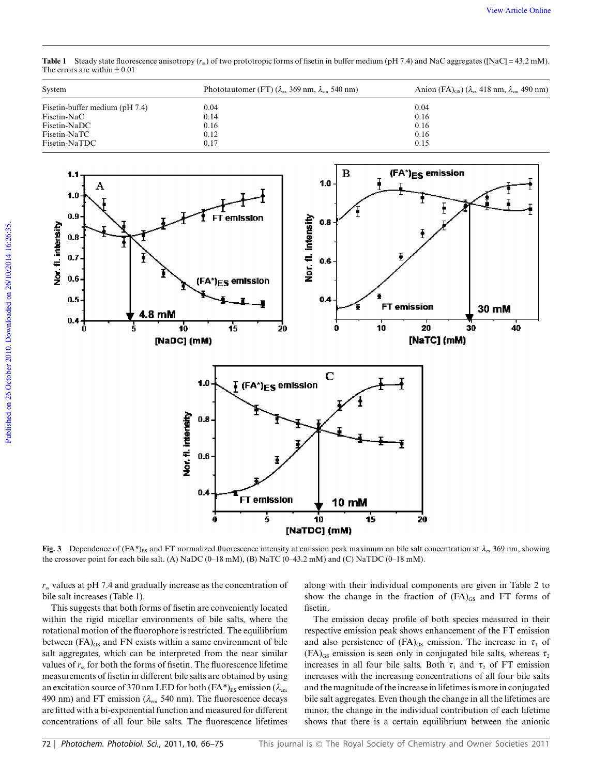| System                         | Phototautomer (FT) $(\lambda_{\text{ex}} 369 \text{ nm}, \lambda_{\text{em}} 540 \text{ nm})$ | Anion (FA) <sub>GS</sub> ) ( $\lambda_{ex}$ 418 nm, $\lambda_{em}$ 490 nm) |
|--------------------------------|-----------------------------------------------------------------------------------------------|----------------------------------------------------------------------------|
| Fisetin-buffer medium (pH 7.4) | 0.04                                                                                          | 0.04                                                                       |
| Fisetin-NaC                    | 0.14                                                                                          | 0.16                                                                       |
| Fisetin-NaDC                   | 0.16                                                                                          | 0.16                                                                       |
| Fisetin-NaTC                   | 0.12                                                                                          | 0.16                                                                       |
| Fisetin-NaTDC                  | 0.17                                                                                          | 0.15                                                                       |

**Table 1** Steady state fluorescence anisotropy  $(r_s)$  of two prototropic forms of fisetin in buffer medium (pH 7.4) and NaC aggregates ([NaC] = 43.2 mM). The errors are within  $\pm 0.01$ 



**Fig. 3** Dependence of  $(FA^*)_{ES}$  and FT normalized fluorescence intensity at emission peak maximum on bile salt concentration at  $\lambda_{ex}$  369 nm, showing the crossover point for each bile salt. (A) NaDC (0–18 mM), (B) NaTC (0–43.2 mM) and (C) NaTDC (0–18 mM).

*r*ss values at pH 7.4 and gradually increase as the concentration of bile salt increases (Table 1).

This suggests that both forms of fisetin are conveniently located within the rigid micellar environments of bile salts, where the rotational motion of the fluorophore is restricted. The equilibrium between  $(FA)_{GS}$  and FN exists within a same environment of bile salt aggregates, which can be interpreted from the near similar values of  $r_{ss}$  for both the forms of fisetin. The fluorescence lifetime measurements of fisetin in different bile salts are obtained by using an excitation source of 370 nm LED for both (FA<sup>\*</sup>)<sub>ES</sub> emission ( $\lambda_{em}$ ) 490 nm) and FT emission  $(\lambda_{\rm em} 540 \text{ nm})$ . The fluorescence decays are fitted with a bi-exponential function and measured for different concentrations of all four bile salts. The fluorescence lifetimes

along with their individual components are given in Table 2 to show the change in the fraction of  $(FA)_{GS}$  and FT forms of fisetin.

The emission decay profile of both species measured in their respective emission peak shows enhancement of the FT emission and also persistence of  $(FA)_{GS}$  emission. The increase in  $\tau_1$  of  $(FA)_{GS}$  emission is seen only in conjugated bile salts, whereas  $\tau_2$ increases in all four bile salts. Both  $\tau_1$  and  $\tau_2$  of FT emission increases with the increasing concentrations of all four bile salts and the magnitude of the increase in lifetimes is more in conjugated bile salt aggregates. Even though the change in all the lifetimes are minor, the change in the individual contribution of each lifetime shows that there is a certain equilibrium between the anionic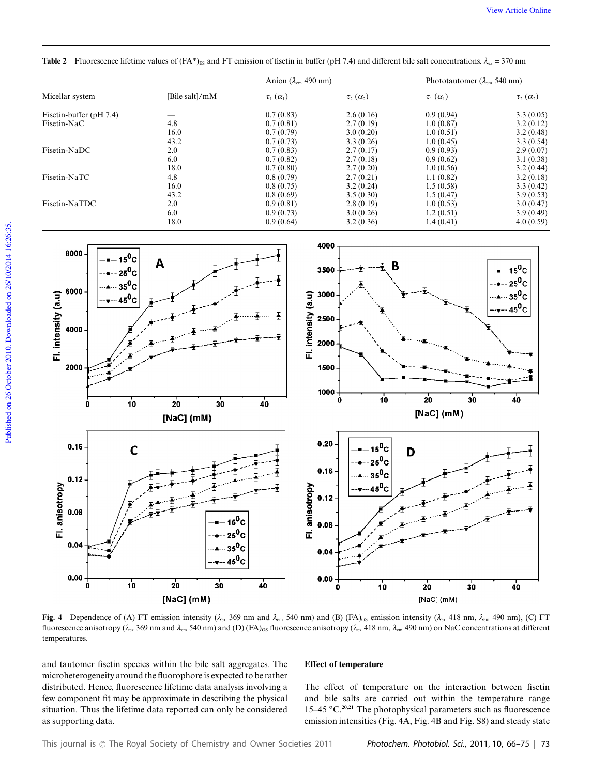**Table 2** Fluorescence lifetime values of  $(FA*)_{ES}$  and FT emission of fisetin in buffer (pH 7.4) and different bile salt concentrations.  $\lambda_{ex} = 370$  nm

| Micellar system         | [Bile salt]/mM | Anion $(\lambda_{\text{em}} 490 \text{ nm})$ |                    | Phototautomer ( $\lambda_{\text{em}}$ 540 nm) |                    |
|-------------------------|----------------|----------------------------------------------|--------------------|-----------------------------------------------|--------------------|
|                         |                | $\tau_1(\alpha_1)$                           | $\tau_2(\alpha_2)$ | $\tau_1(\alpha_1)$                            | $\tau_2(\alpha_2)$ |
| Fisetin-buffer (pH 7.4) |                | 0.7(0.83)                                    | 2.6(0.16)          | 0.9(0.94)                                     | 3.3(0.05)          |
| Fisetin-NaC             | 4.8            | 0.7(0.81)                                    | 2.7(0.19)          | 1.0(0.87)                                     | 3.2(0.12)          |
|                         | 16.0           | 0.7(0.79)                                    | 3.0(0.20)          | 1.0(0.51)                                     | 3.2(0.48)          |
|                         | 43.2           | 0.7(0.73)                                    | 3.3(0.26)          | 1.0(0.45)                                     | 3.3(0.54)          |
| Fisetin-NaDC            | 2.0            | 0.7(0.83)                                    | 2.7(0.17)          | 0.9(0.93)                                     | 2.9(0.07)          |
|                         | 6.0            | 0.7(0.82)                                    | 2.7(0.18)          | 0.9(0.62)                                     | 3.1(0.38)          |
|                         | 18.0           | 0.7(0.80)                                    | 2.7(0.20)          | 1.0(0.56)                                     | 3.2(0.44)          |
| Fisetin-NaTC            | 4.8            | 0.8(0.79)                                    | 2.7(0.21)          | 1.1(0.82)                                     | 3.2(0.18)          |
|                         | 16.0           | 0.8(0.75)                                    | 3.2(0.24)          | 1.5(0.58)                                     | 3.3(0.42)          |
|                         | 43.2           | 0.8(0.69)                                    | 3.5(0.30)          | 1.5(0.47)                                     | 3.9(0.53)          |
| Fisetin-NaTDC           | 2.0            | 0.9(0.81)                                    | 2.8(0.19)          | 1.0(0.53)                                     | 3.0(0.47)          |
|                         | 6.0            | 0.9(0.73)                                    | 3.0(0.26)          | 1.2(0.51)                                     | 3.9(0.49)          |
|                         | 18.0           | 0.9(0.64)                                    | 3.2(0.36)          | 1.4(0.41)                                     | 4.0(0.59)          |



**Fig. 4** Dependence of (A) FT emission intensity ( $\lambda_{ex}$  369 nm and  $\lambda_{em}$  540 nm) and (B) (FA)<sub>GS</sub> emission intensity ( $\lambda_{ex}$  418 nm,  $\lambda_{em}$  490 nm), (C) FT fluorescence anisotropy ( $\lambda_{ex}$  369 nm and  $\lambda_{em}$  540 nm) and (D) (FA)<sub>GS</sub> fluorescence anisotropy ( $\lambda_{ex}$  418 nm,  $\lambda_{em}$  490 nm) on NaC concentrations at different temperatures.

and tautomer fisetin species within the bile salt aggregates. The microheterogeneity around the fluorophore is expected to be rather distributed. Hence, fluorescence lifetime data analysis involving a few component fit may be approximate in describing the physical situation. Thus the lifetime data reported can only be considered as supporting data.

# **Effect of temperature**

The effect of temperature on the interaction between fisetin and bile salts are carried out within the temperature range 15–45 ◦C.**20,21** The photophysical parameters such as fluorescence emission intensities (Fig. 4A, Fig. 4B and Fig. S8) and steady state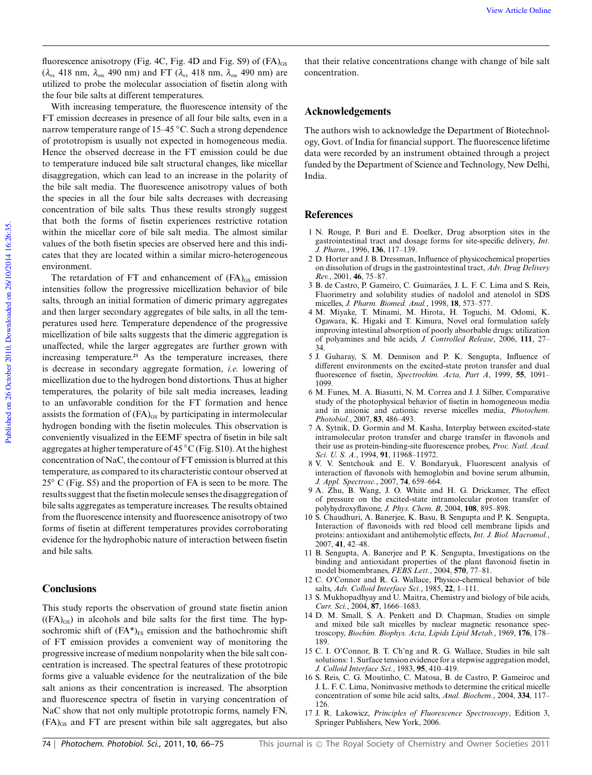fluorescence anisotropy (Fig. 4C, Fig. 4D and Fig.  $S9$ ) of (FA) $_{GS}$  $(\lambda_{\text{ex}} 418 \text{ nm}, \lambda_{\text{em}} 490 \text{ nm})$  and FT  $(\lambda_{\text{ex}} 418 \text{ nm}, \lambda_{\text{em}} 490 \text{ nm})$  are utilized to probe the molecular association of fisetin along with the four bile salts at different temperatures.

With increasing temperature, the fluorescence intensity of the FT emission decreases in presence of all four bile salts, even in a narrow temperature range of 15–45 ◦C. Such a strong dependence of prototropism is usually not expected in homogeneous media. Hence the observed decrease in the FT emission could be due to temperature induced bile salt structural changes, like micellar disaggregation, which can lead to an increase in the polarity of the bile salt media. The fluorescence anisotropy values of both the species in all the four bile salts decreases with decreasing concentration of bile salts. Thus these results strongly suggest that both the forms of fisetin experiences restrictive rotation within the micellar core of bile salt media. The almost similar values of the both fisetin species are observed here and this indicates that they are located within a similar micro-heterogeneous environment.

The retardation of FT and enhancement of  $(FA)_{GS}$  emission intensities follow the progressive micellization behavior of bile salts, through an initial formation of dimeric primary aggregates and then larger secondary aggregates of bile salts, in all the temperatures used here. Temperature dependence of the progressive micellization of bile salts suggests that the dimeric aggregation is unaffected, while the larger aggregates are further grown with increasing temperature.**<sup>21</sup>** As the temperature increases, there is decrease in secondary aggregate formation, *i.e.* lowering of micellization due to the hydrogen bond distortions. Thus at higher temperatures, the polarity of bile salt media increases, leading to an unfavorable condition for the FT formation and hence assists the formation of  $(FA)_{GS}$  by participating in intermolecular hydrogen bonding with the fisetin molecules. This observation is conveniently visualized in the EEMF spectra of fisetin in bile salt aggregates at higher temperature of 45 ◦C (Fig. S10). At the highest concentration of NaC, the contour of FT emission is blurred at this temperature, as compared to its characteristic contour observed at 25◦ C (Fig. S5) and the proportion of FA is seen to be more. The results suggest that the fisetin molecule senses the disaggregation of bile salts aggregates as temperature increases. The results obtained from the fluorescence intensity and fluorescence anisotropy of two forms of fisetin at different temperatures provides corroborating evidence for the hydrophobic nature of interaction between fisetin and bile salts.

# **Conclusions**

This study reports the observation of ground state fisetin anion  $((FA)_{GS})$  in alcohols and bile salts for the first time. The hypsochromic shift of  $(FA^*)_{ES}$  emission and the bathochromic shift of FT emission provides a convenient way of monitoring the progressive increase of medium nonpolarity when the bile salt concentration is increased. The spectral features of these prototropic forms give a valuable evidence for the neutralization of the bile salt anions as their concentration is increased. The absorption and fluorescence spectra of fisetin in varying concentration of NaC show that not only multiple prototropic forms, namely FN,  $(FA)_{GS}$  and FT are present within bile salt aggregates, but also

that their relative concentrations change with change of bile salt concentration.

# **Acknowledgements**

The authors wish to acknowledge the Department of Biotechnology, Govt. of India for financial support. The fluorescence lifetime data were recorded by an instrument obtained through a project funded by the Department of Science and Technology, New Delhi, India.

# **References**

- 1 N. Rouge, P. Buri and E. Doelker, Drug absorption sites in the gastrointestinal tract and dosage forms for site-specific delivery, *Int. J. Pharm.*, 1996, **136**, 117–139.
- 2 D. Horter and J. B. Dressman, Influence of physicochemical properties on dissolution of drugs in the gastrointestinal tract, *Adv. Drug Delivery Rev.*, 2001, **46**, 75–87.
- 3 B. de Castro, P. Gameiro, C. Guimaraes, J. L. F. C. Lima and S. Reis, ¨ Fluorimetry and solubility studies of nadolol and atenolol in SDS micelles, *J. Pharm. Biomed. Anal.*, 1998, **18**, 573–577.
- 4 M. Miyake, T. Minami, M. Hirota, H. Toguchi, M. Odomi, K. Ogawara, K. Higaki and T. Kimura, Novel oral formulation safely improving intestinal absorption of poorly absorbable drugs: utilization of polyamines and bile acids, *J. Controlled Release*, 2006, **111**, 27– 34.
- 5 J. Guharay, S. M. Dennison and P. K. Sengupta, Influence of different environments on the excited-state proton transfer and dual fluorescence of fisetin, *Spectrochim. Acta, Part A*, 1999, **55**, 1091– 1099.
- 6 M. Funes, M. A. Biasutti, N. M. Correa and J. J. Silber, Comparative study of the photophysical behavior of fisetin in homogeneous media and in anionic and cationic reverse micelles media, *Photochem. Photobiol.*, 2007, **83**, 486–493.
- 7 A. Sytnik, D. Gormin and M. Kasha, Interplay between excited-state intramolecular proton transfer and charge transfer in flavonols and their use as protein-binding-site fluorescence probes, *Proc. Natl. Acad. Sci. U. S. A.*, 1994, **91**, 11968–11972.
- 8 V. V. Sentchouk and E. V. Bondaryuk, Fluorescent analysis of interaction of flavonols with hemoglobin and bovine serum albumin, *J. Appl. Spectrosc.*, 2007, **74**, 659–664.
- 9 A. Zhu, B. Wang, J. O. White and H. G. Drickamer, The effect of pressure on the excited-state intramolecular proton transfer of polyhydroxyflavone, *J. Phys. Chem. B*, 2004, **108**, 895–898.
- 10 S. Chaudhuri, A. Banerjee, K. Basu, B. Sengupta and P. K. Sengupta, Interaction of flavonoids with red blood cell membrane lipids and proteins: antioxidant and antihemolytic effects, *Int. J. Biol. Macromol.*, 2007, **41**, 42–48.
- 11 B. Sengupta, A. Banerjee and P. K. Sengupta, Investigations on the binding and antioxidant properties of the plant flavonoid fisetin in model biomembranes, *FEBS Lett.*, 2004, **570**, 77–81.
- 12 C. O'Connor and R. G. Wallace, Physico-chemical behavior of bile salts, *Adv. Colloid Interface Sci.*, 1985, **22**, 1–111.
- 13 S. Mukhopadhyay and U. Maitra, Chemistry and biology of bile acids, *Curr. Sci.*, 2004, **87**, 1666–1683.
- 14 D. M. Small, S. A. Penkett and D. Chapman, Studies on simple and mixed bile salt micelles by nuclear magnetic resonance spectroscopy, *Biochim. Biophys. Acta, Lipids Lipid Metab.*, 1969, **176**, 178– 189.
- 15 C. I. O'Connor, B. T. Ch'ng and R. G. Wallace, Studies in bile salt solutions: 1. Surface tension evidence for a stepwise aggregation model, *J. Colloid Interface Sci.*, 1983, **95**, 410–419.
- 16 S. Reis, C. G. Moutinho, C. Matosa, B. de Castro, P. Gameiroc and J. L. F. C. Lima, Noninvasive methods to determine the critical micelle concentration of some bile acid salts, *Anal. Biochem.*, 2004, **334**, 117– 126.
- 17 J. R. Lakowicz, *Principles of Fluorescence Spectroscopy*, Edition 3, Springer Publishers, New York, 2006.